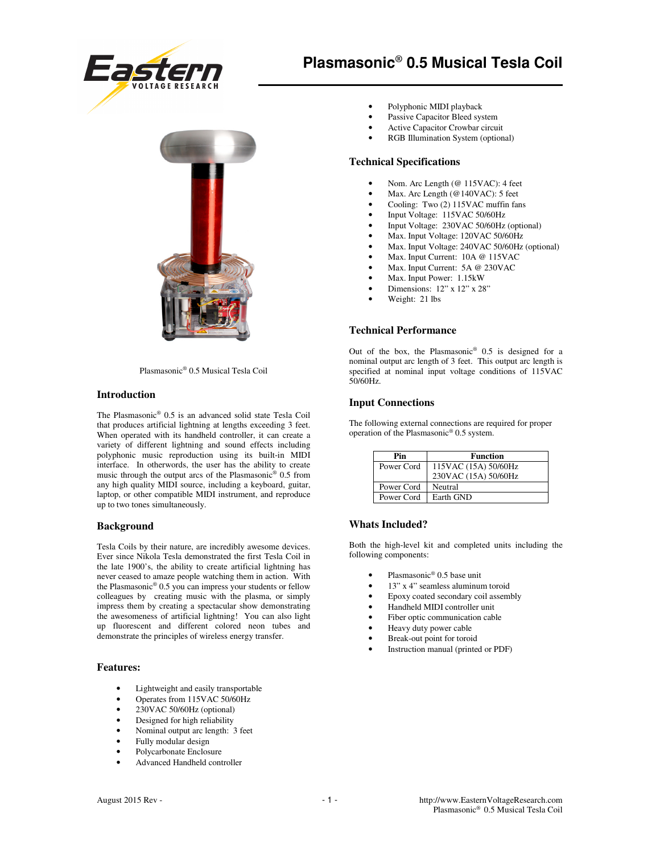



Plasmasonic® 0.5 Musical Tesla Coil

### **Introduction**

The Plasmasonic® 0.5 is an advanced solid state Tesla Coil that produces artificial lightning at lengths exceeding 3 feet. When operated with its handheld controller, it can create a variety of different lightning and sound effects including polyphonic music reproduction using its built-in MIDI interface. In otherwords, the user has the ability to create music through the output arcs of the Plasmasonic® 0.5 from any high quality MIDI source, including a keyboard, guitar, laptop, or other compatible MIDI instrument, and reproduce up to two tones simultaneously.

### **Background**

Tesla Coils by their nature, are incredibly awesome devices. Ever since Nikola Tesla demonstrated the first Tesla Coil in the late 1900's, the ability to create artificial lightning has never ceased to amaze people watching them in action. With the Plasmasonic® 0.5 you can impress your students or fellow colleagues by creating music with the plasma, or simply impress them by creating a spectacular show demonstrating the awesomeness of artificial lightning! You can also light up fluorescent and different colored neon tubes and demonstrate the principles of wireless energy transfer.

### **Features:**

- Lightweight and easily transportable
- Operates from 115VAC 50/60Hz
- 230VAC 50/60Hz (optional)
- Designed for high reliability
- Nominal output arc length: 3 feet
- Fully modular design
- Polycarbonate Enclosure
- Advanced Handheld controller
- Polyphonic MIDI playback
- Passive Capacitor Bleed system
- Active Capacitor Crowbar circuit
- RGB Illumination System (optional)

### **Technical Specifications**

- Nom. Arc Length (@ 115VAC): 4 feet
- Max. Arc Length (@140VAC): 5 feet
- Cooling: Two (2) 115VAC muffin fans
- Input Voltage: 115VAC 50/60Hz
- Input Voltage: 230VAC 50/60Hz (optional)
- Max. Input Voltage: 120VAC 50/60Hz
- Max. Input Voltage: 240VAC 50/60Hz (optional)
- Max. Input Current: 10A @ 115VAC
- Max. Input Current: 5A @ 230VAC
- Max. Input Power: 1.15kW
- Dimensions: 12" x 12" x 28"
- Weight: 21 lbs

#### **Technical Performance**

Out of the box, the Plasmasonic® 0.5 is designed for a nominal output arc length of 3 feet. This output arc length is specified at nominal input voltage conditions of 115VAC 50/60Hz.

### **Input Connections**

The following external connections are required for proper operation of the Plasmasonic® 0.5 system.

| Pin        | <b>Function</b>      |
|------------|----------------------|
| Power Cord | 115VAC (15A) 50/60Hz |
|            | 230VAC (15A) 50/60Hz |
| Power Cord | Neutral              |
| Power Cord | Earth GND            |

## **Whats Included?**

Both the high-level kit and completed units including the following components:

- Plasmasonic<sup>®</sup> 0.5 base unit
- 13" x 4" seamless aluminum toroid
- Epoxy coated secondary coil assembly
- Handheld MIDI controller unit
- Fiber optic communication cable
- Heavy duty power cable
- Break-out point for toroid
- Instruction manual (printed or PDF)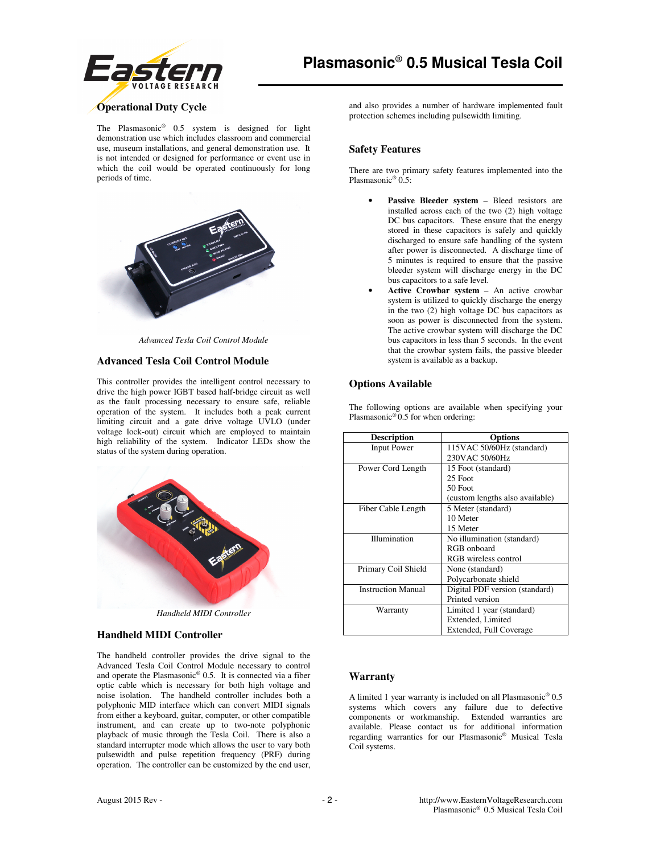

# **Operational Duty Cycle**

The Plasmasonic® 0.5 system is designed for light demonstration use which includes classroom and commercial use, museum installations, and general demonstration use. It is not intended or designed for performance or event use in which the coil would be operated continuously for long periods of time.



*Advanced Tesla Coil Control Module* 

### **Advanced Tesla Coil Control Module**

This controller provides the intelligent control necessary to drive the high power IGBT based half-bridge circuit as well as the fault processing necessary to ensure safe, reliable operation of the system. It includes both a peak current limiting circuit and a gate drive voltage UVLO (under voltage lock-out) circuit which are employed to maintain high reliability of the system. Indicator LEDs show the status of the system during operation.



*Handheld MIDI Controller* 

### **Handheld MIDI Controller**

The handheld controller provides the drive signal to the Advanced Tesla Coil Control Module necessary to control and operate the Plasmasonic® 0.5. It is connected via a fiber optic cable which is necessary for both high voltage and noise isolation. The handheld controller includes both a polyphonic MID interface which can convert MIDI signals from either a keyboard, guitar, computer, or other compatible instrument, and can create up to two-note polyphonic playback of music through the Tesla Coil. There is also a standard interrupter mode which allows the user to vary both pulsewidth and pulse repetition frequency (PRF) during operation. The controller can be customized by the end user,

and also provides a number of hardware implemented fault protection schemes including pulsewidth limiting.

## **Safety Features**

There are two primary safety features implemented into the Plasmasonic® 0.5:

- Passive Bleeder system Bleed resistors are installed across each of the two (2) high voltage DC bus capacitors. These ensure that the energy stored in these capacitors is safely and quickly discharged to ensure safe handling of the system after power is disconnected. A discharge time of 5 minutes is required to ensure that the passive bleeder system will discharge energy in the DC bus capacitors to a safe level.
- **Active Crowbar system** An active crowbar system is utilized to quickly discharge the energy in the two (2) high voltage DC bus capacitors as soon as power is disconnected from the system. The active crowbar system will discharge the DC bus capacitors in less than 5 seconds. In the event that the crowbar system fails, the passive bleeder system is available as a backup.

## **Options Available**

The following options are available when specifying your Plasmasonic® 0.5 for when ordering:

| <b>Description</b>        | <b>Options</b>                  |
|---------------------------|---------------------------------|
| <b>Input Power</b>        | 115VAC 50/60Hz (standard)       |
|                           | 230VAC 50/60Hz                  |
| Power Cord Length         | 15 Foot (standard)              |
|                           | 25 Foot                         |
|                           | 50 Foot                         |
|                           | (custom lengths also available) |
| Fiber Cable Length        | 5 Meter (standard)              |
|                           | 10 Meter                        |
|                           | 15 Meter                        |
| Illumination              | No illumination (standard)      |
|                           | RGB onboard                     |
|                           | RGB wireless control            |
| Primary Coil Shield       | None (standard)                 |
|                           | Polycarbonate shield            |
| <b>Instruction Manual</b> | Digital PDF version (standard)  |
|                           | Printed version                 |
| Warranty                  | Limited 1 year (standard)       |
|                           | Extended, Limited               |
|                           | Extended, Full Coverage         |

### **Warranty**

A limited 1 year warranty is included on all Plasmasonic® 0.5 systems which covers any failure due to defective components or workmanship. Extended warranties are available. Please contact us for additional information regarding warranties for our Plasmasonic® Musical Tesla Coil systems.